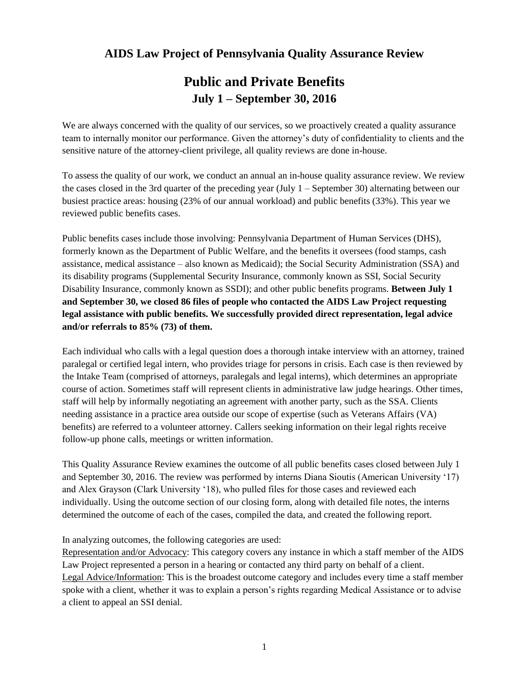# **Public and Private Benefits July 1 – September 30, 2016**

We are always concerned with the quality of our services, so we proactively created a quality assurance team to internally monitor our performance. Given the attorney's duty of confidentiality to clients and the sensitive nature of the attorney-client privilege, all quality reviews are done in-house.

To assess the quality of our work, we conduct an annual an in-house quality assurance review. We review the cases closed in the 3rd quarter of the preceding year (July 1 – September 30) alternating between our busiest practice areas: housing (23% of our annual workload) and public benefits (33%). This year we reviewed public benefits cases.

Public benefits cases include those involving: Pennsylvania Department of Human Services (DHS), formerly known as the Department of Public Welfare, and the benefits it oversees (food stamps, cash assistance, medical assistance – also known as Medicaid); the Social Security Administration (SSA) and its disability programs (Supplemental Security Insurance, commonly known as SSI, Social Security Disability Insurance, commonly known as SSDI); and other public benefits programs. **Between July 1 and September 30, we closed 86 files of people who contacted the AIDS Law Project requesting legal assistance with public benefits. We successfully provided direct representation, legal advice and/or referrals to 85% (73) of them.**

Each individual who calls with a legal question does a thorough intake interview with an attorney, trained paralegal or certified legal intern, who provides triage for persons in crisis. Each case is then reviewed by the Intake Team (comprised of attorneys, paralegals and legal interns), which determines an appropriate course of action. Sometimes staff will represent clients in administrative law judge hearings. Other times, staff will help by informally negotiating an agreement with another party, such as the SSA. Clients needing assistance in a practice area outside our scope of expertise (such as Veterans Affairs (VA) benefits) are referred to a volunteer attorney. Callers seeking information on their legal rights receive follow-up phone calls, meetings or written information.

This Quality Assurance Review examines the outcome of all public benefits cases closed between July 1 and September 30, 2016. The review was performed by interns Diana Sioutis (American University '17) and Alex Grayson (Clark University '18), who pulled files for those cases and reviewed each individually. Using the outcome section of our closing form, along with detailed file notes, the interns determined the outcome of each of the cases, compiled the data, and created the following report.

In analyzing outcomes, the following categories are used:

Representation and/or Advocacy: This category covers any instance in which a staff member of the AIDS Law Project represented a person in a hearing or contacted any third party on behalf of a client. Legal Advice/Information: This is the broadest outcome category and includes every time a staff member spoke with a client, whether it was to explain a person's rights regarding Medical Assistance or to advise a client to appeal an SSI denial.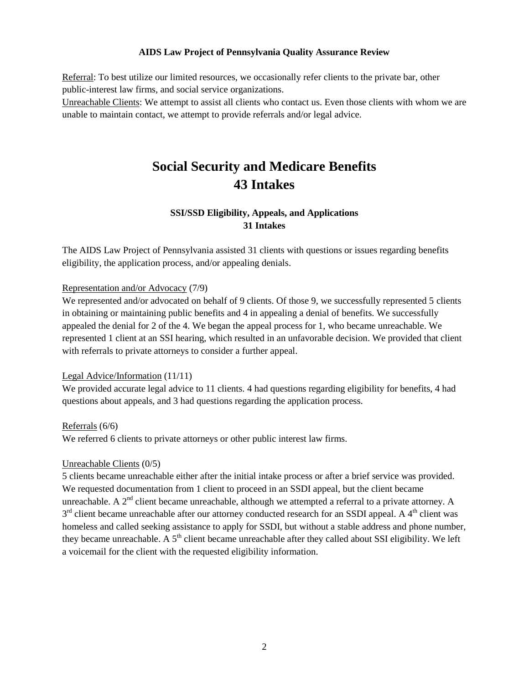Referral: To best utilize our limited resources, we occasionally refer clients to the private bar, other public-interest law firms, and social service organizations.

Unreachable Clients: We attempt to assist all clients who contact us. Even those clients with whom we are unable to maintain contact, we attempt to provide referrals and/or legal advice.

# **Social Security and Medicare Benefits 43 Intakes**

# **SSI/SSD Eligibility, Appeals, and Applications 31 Intakes**

The AIDS Law Project of Pennsylvania assisted 31 clients with questions or issues regarding benefits eligibility, the application process, and/or appealing denials.

#### Representation and/or Advocacy (7/9)

We represented and/or advocated on behalf of 9 clients. Of those 9, we successfully represented 5 clients in obtaining or maintaining public benefits and 4 in appealing a denial of benefits. We successfully appealed the denial for 2 of the 4. We began the appeal process for 1, who became unreachable. We represented 1 client at an SSI hearing, which resulted in an unfavorable decision. We provided that client with referrals to private attorneys to consider a further appeal.

#### Legal Advice/Information (11/11)

We provided accurate legal advice to 11 clients. 4 had questions regarding eligibility for benefits, 4 had questions about appeals, and 3 had questions regarding the application process.

#### Referrals (6/6)

We referred 6 clients to private attorneys or other public interest law firms.

#### Unreachable Clients (0/5)

5 clients became unreachable either after the initial intake process or after a brief service was provided. We requested documentation from 1 client to proceed in an SSDI appeal, but the client became unreachable. A  $2<sup>nd</sup>$  client became unreachable, although we attempted a referral to a private attorney. A  $3<sup>rd</sup>$  client became unreachable after our attorney conducted research for an SSDI appeal. A 4<sup>th</sup> client was homeless and called seeking assistance to apply for SSDI, but without a stable address and phone number, they became unreachable. A  $5<sup>th</sup>$  client became unreachable after they called about SSI eligibility. We left a voicemail for the client with the requested eligibility information.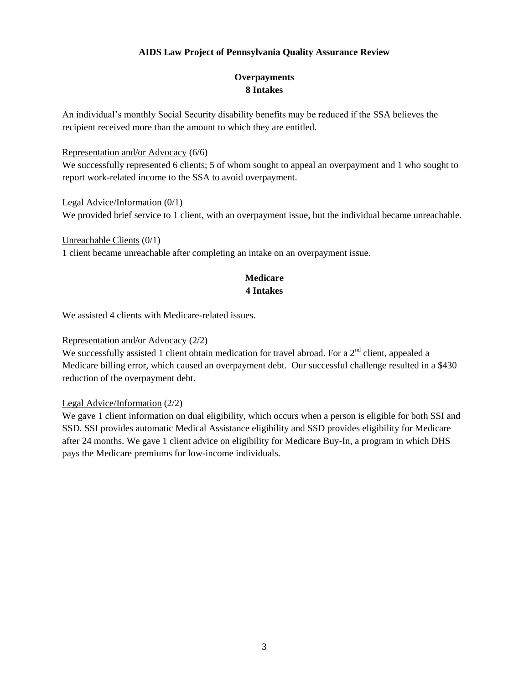# **Overpayments 8 Intakes**

An individual's monthly Social Security disability benefits may be reduced if the SSA believes the recipient received more than the amount to which they are entitled.

#### Representation and/or Advocacy (6/6)

We successfully represented 6 clients; 5 of whom sought to appeal an overpayment and 1 who sought to report work-related income to the SSA to avoid overpayment.

Legal Advice/Information (0/1) We provided brief service to 1 client, with an overpayment issue, but the individual became unreachable.

### Unreachable Clients (0/1) 1 client became unreachable after completing an intake on an overpayment issue.

### **Medicare 4 Intakes**

We assisted 4 clients with Medicare-related issues.

#### Representation and/or Advocacy (2/2)

We successfully assisted 1 client obtain medication for travel abroad. For a  $2<sup>nd</sup>$  client, appealed a Medicare billing error, which caused an overpayment debt. Our successful challenge resulted in a \$430 reduction of the overpayment debt.

### Legal Advice/Information (2/2)

We gave 1 client information on dual eligibility, which occurs when a person is eligible for both SSI and SSD. SSI provides automatic Medical Assistance eligibility and SSD provides eligibility for Medicare after 24 months. We gave 1 client advice on eligibility for Medicare Buy-In, a program in which DHS pays the Medicare premiums for low-income individuals.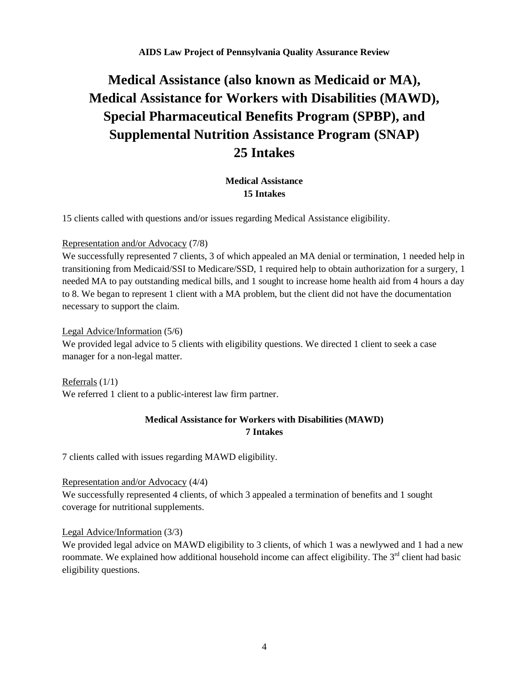# **Medical Assistance (also known as Medicaid or MA), Medical Assistance for Workers with Disabilities (MAWD), Special Pharmaceutical Benefits Program (SPBP), and Supplemental Nutrition Assistance Program (SNAP) 25 Intakes**

### **Medical Assistance 15 Intakes**

15 clients called with questions and/or issues regarding Medical Assistance eligibility.

#### Representation and/or Advocacy (7/8)

We successfully represented 7 clients, 3 of which appealed an MA denial or termination, 1 needed help in transitioning from Medicaid/SSI to Medicare/SSD, 1 required help to obtain authorization for a surgery, 1 needed MA to pay outstanding medical bills, and 1 sought to increase home health aid from 4 hours a day to 8. We began to represent 1 client with a MA problem, but the client did not have the documentation necessary to support the claim.

#### Legal Advice/Information (5/6)

We provided legal advice to 5 clients with eligibility questions. We directed 1 client to seek a case manager for a non-legal matter.

Referrals (1/1) We referred 1 client to a public-interest law firm partner.

# **Medical Assistance for Workers with Disabilities (MAWD) 7 Intakes**

7 clients called with issues regarding MAWD eligibility.

#### Representation and/or Advocacy (4/4)

We successfully represented 4 clients, of which 3 appealed a termination of benefits and 1 sought coverage for nutritional supplements.

#### Legal Advice/Information (3/3)

We provided legal advice on MAWD eligibility to 3 clients, of which 1 was a newlywed and 1 had a new roommate. We explained how additional household income can affect eligibility. The 3<sup>rd</sup> client had basic eligibility questions.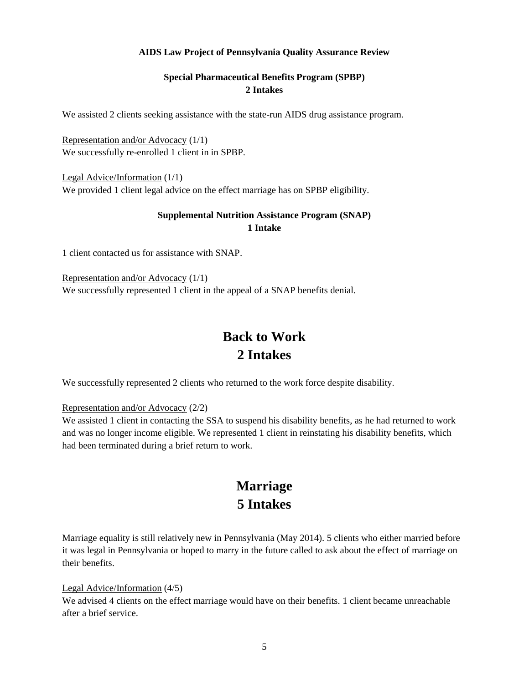# **Special Pharmaceutical Benefits Program (SPBP) 2 Intakes**

We assisted 2 clients seeking assistance with the state-run AIDS drug assistance program.

Representation and/or Advocacy (1/1) We successfully re-enrolled 1 client in in SPBP.

Legal Advice/Information (1/1) We provided 1 client legal advice on the effect marriage has on SPBP eligibility.

### **Supplemental Nutrition Assistance Program (SNAP) 1 Intake**

1 client contacted us for assistance with SNAP.

Representation and/or Advocacy (1/1) We successfully represented 1 client in the appeal of a SNAP benefits denial.

# **Back to Work 2 Intakes**

We successfully represented 2 clients who returned to the work force despite disability.

Representation and/or Advocacy (2/2)

We assisted 1 client in contacting the SSA to suspend his disability benefits, as he had returned to work and was no longer income eligible. We represented 1 client in reinstating his disability benefits, which had been terminated during a brief return to work.

# **Marriage 5 Intakes**

Marriage equality is still relatively new in Pennsylvania (May 2014). 5 clients who either married before it was legal in Pennsylvania or hoped to marry in the future called to ask about the effect of marriage on their benefits.

#### Legal Advice/Information (4/5)

We advised 4 clients on the effect marriage would have on their benefits. 1 client became unreachable after a brief service.